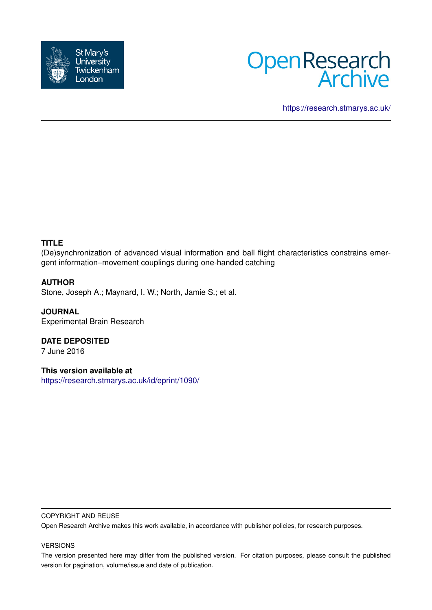



<https://research.stmarys.ac.uk/>

# **TITLE**

(De)synchronization of advanced visual information and ball flight characteristics constrains emergent information–movement couplings during one-handed catching

# **AUTHOR**

Stone, Joseph A.; Maynard, I. W.; North, Jamie S.; et al.

**JOURNAL** Experimental Brain Research

**DATE DEPOSITED** 7 June 2016

**This version available at** <https://research.stmarys.ac.uk/id/eprint/1090/>

# COPYRIGHT AND REUSE

Open Research Archive makes this work available, in accordance with publisher policies, for research purposes.

# VERSIONS

The version presented here may differ from the published version. For citation purposes, please consult the published version for pagination, volume/issue and date of publication.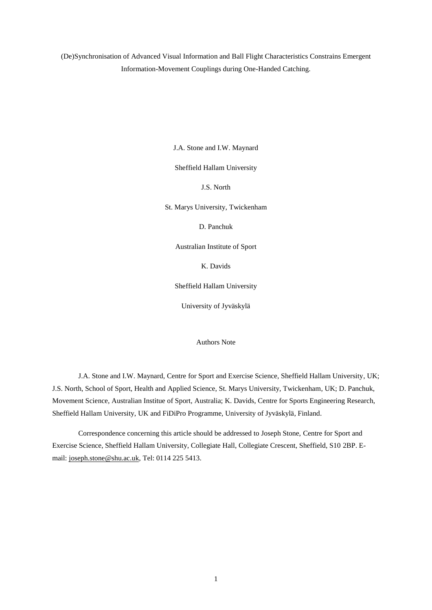(De)Synchronisation of Advanced Visual Information and Ball Flight Characteristics Constrains Emergent Information-Movement Couplings during One-Handed Catching.

J.A. Stone and I.W. Maynard

Sheffield Hallam University

J.S. North

St. Marys University, Twickenham

D. Panchuk

Australian Institute of Sport

K. Davids

Sheffield Hallam University

University of Jyväskylä

Authors Note

J.A. Stone and I.W. Maynard, Centre for Sport and Exercise Science, Sheffield Hallam University, UK; J.S. North, School of Sport, Health and Applied Science, St. Marys University, Twickenham, UK; D. Panchuk, Movement Science, Australian Institue of Sport, Australia; K. Davids, Centre for Sports Engineering Research, Sheffield Hallam University, UK and FiDiPro Programme, University of Jyväskylä, Finland.

Correspondence concerning this article should be addressed to Joseph Stone, Centre for Sport and Exercise Science, Sheffield Hallam University, Collegiate Hall, Collegiate Crescent, Sheffield, S10 2BP. Email: [joseph.stone@shu.ac.uk,](mailto:joseph.stone@shu.ac.uk) Tel: 0114 225 5413.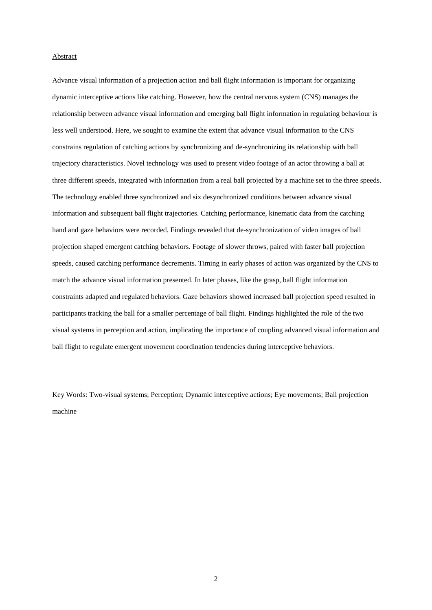### Abstract

Advance visual information of a projection action and ball flight information is important for organizing dynamic interceptive actions like catching. However, how the central nervous system (CNS) manages the relationship between advance visual information and emerging ball flight information in regulating behaviour is less well understood. Here, we sought to examine the extent that advance visual information to the CNS constrains regulation of catching actions by synchronizing and de-synchronizing its relationship with ball trajectory characteristics. Novel technology was used to present video footage of an actor throwing a ball at three different speeds, integrated with information from a real ball projected by a machine set to the three speeds. The technology enabled three synchronized and six desynchronized conditions between advance visual information and subsequent ball flight trajectories. Catching performance, kinematic data from the catching hand and gaze behaviors were recorded. Findings revealed that de-synchronization of video images of ball projection shaped emergent catching behaviors. Footage of slower throws, paired with faster ball projection speeds, caused catching performance decrements. Timing in early phases of action was organized by the CNS to match the advance visual information presented. In later phases, like the grasp, ball flight information constraints adapted and regulated behaviors. Gaze behaviors showed increased ball projection speed resulted in participants tracking the ball for a smaller percentage of ball flight. Findings highlighted the role of the two visual systems in perception and action, implicating the importance of coupling advanced visual information and ball flight to regulate emergent movement coordination tendencies during interceptive behaviors.

Key Words: Two-visual systems; Perception; Dynamic interceptive actions; Eye movements; Ball projection machine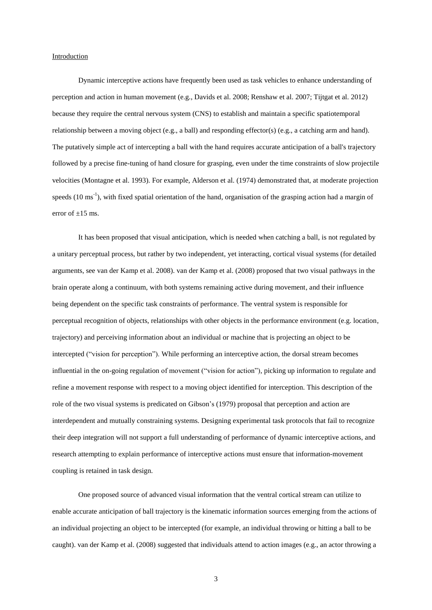# Introduction

Dynamic interceptive actions have frequently been used as task vehicles to enhance understanding of perception and action in human movement (e.g., Davids et al. 2008; Renshaw et al. 2007; Tijtgat et al. 2012) because they require the central nervous system (CNS) to establish and maintain a specific spatiotemporal relationship between a moving object (e.g., a ball) and responding effector(s) (e.g., a catching arm and hand). The putatively simple act of intercepting a ball with the hand requires accurate anticipation of a ball's trajectory followed by a precise fine-tuning of hand closure for grasping, even under the time constraints of slow projectile velocities (Montagne et al. 1993). For example, Alderson et al. (1974) demonstrated that, at moderate projection speeds  $(10 \text{ ms}^{-1})$ , with fixed spatial orientation of the hand, organisation of the grasping action had a margin of error of  $\pm 15$  ms.

It has been proposed that visual anticipation, which is needed when catching a ball, is not regulated by a unitary perceptual process, but rather by two independent, yet interacting, cortical visual systems (for detailed arguments, see van der Kamp et al. 2008). van der Kamp et al. (2008) proposed that two visual pathways in the brain operate along a continuum, with both systems remaining active during movement, and their influence being dependent on the specific task constraints of performance. The ventral system is responsible for perceptual recognition of objects, relationships with other objects in the performance environment (e.g. location, trajectory) and perceiving information about an individual or machine that is projecting an object to be intercepted ("vision for perception"). While performing an interceptive action, the dorsal stream becomes influential in the on-going regulation of movement ("vision for action"), picking up information to regulate and refine a movement response with respect to a moving object identified for interception. This description of the role of the two visual systems is predicated on Gibson's (1979) proposal that perception and action are interdependent and mutually constraining systems. Designing experimental task protocols that fail to recognize their deep integration will not support a full understanding of performance of dynamic interceptive actions, and research attempting to explain performance of interceptive actions must ensure that information-movement coupling is retained in task design.

One proposed source of advanced visual information that the ventral cortical stream can utilize to enable accurate anticipation of ball trajectory is the kinematic information sources emerging from the actions of an individual projecting an object to be intercepted (for example, an individual throwing or hitting a ball to be caught). van der Kamp et al. (2008) suggested that individuals attend to action images (e.g., an actor throwing a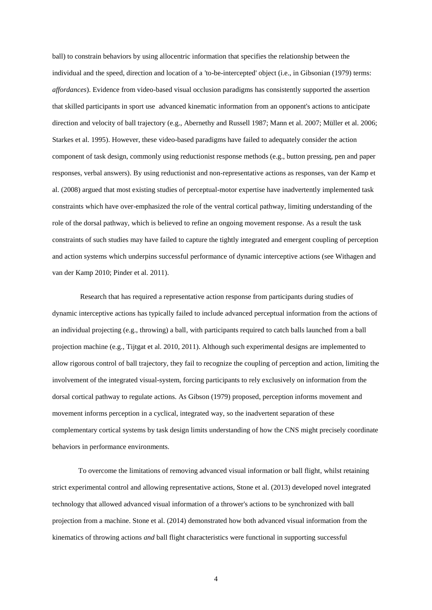ball) to constrain behaviors by using allocentric information that specifies the relationship between the individual and the speed, direction and location of a 'to-be-intercepted' object (i.e., in Gibsonian (1979) terms: *affordances*). Evidence from video-based visual occlusion paradigms has consistently supported the assertion that skilled participants in sport use advanced kinematic information from an opponent's actions to anticipate direction and velocity of ball trajectory (e.g., Abernethy and Russell 1987; Mann et al. 2007; Müller et al. 2006; Starkes et al. 1995). However, these video-based paradigms have failed to adequately consider the action component of task design, commonly using reductionist response methods (e.g., button pressing, pen and paper responses, verbal answers). By using reductionist and non-representative actions as responses, van der Kamp et al. (2008) argued that most existing studies of perceptual-motor expertise have inadvertently implemented task constraints which have over-emphasized the role of the ventral cortical pathway, limiting understanding of the role of the dorsal pathway, which is believed to refine an ongoing movement response. As a result the task constraints of such studies may have failed to capture the tightly integrated and emergent coupling of perception and action systems which underpins successful performance of dynamic interceptive actions (see Withagen and van der Kamp 2010; Pinder et al. 2011).

Research that has required a representative action response from participants during studies of dynamic interceptive actions has typically failed to include advanced perceptual information from the actions of an individual projecting (e.g., throwing) a ball, with participants required to catch balls launched from a ball projection machine (e.g., Tijtgat et al. 2010, 2011). Although such experimental designs are implemented to allow rigorous control of ball trajectory, they fail to recognize the coupling of perception and action, limiting the involvement of the integrated visual-system, forcing participants to rely exclusively on information from the dorsal cortical pathway to regulate actions. As Gibson (1979) proposed, perception informs movement and movement informs perception in a cyclical, integrated way, so the inadvertent separation of these complementary cortical systems by task design limits understanding of how the CNS might precisely coordinate behaviors in performance environments.

To overcome the limitations of removing advanced visual information or ball flight, whilst retaining strict experimental control and allowing representative actions, Stone et al. (2013) developed novel integrated technology that allowed advanced visual information of a thrower's actions to be synchronized with ball projection from a machine. Stone et al. (2014) demonstrated how both advanced visual information from the kinematics of throwing actions *and* ball flight characteristics were functional in supporting successful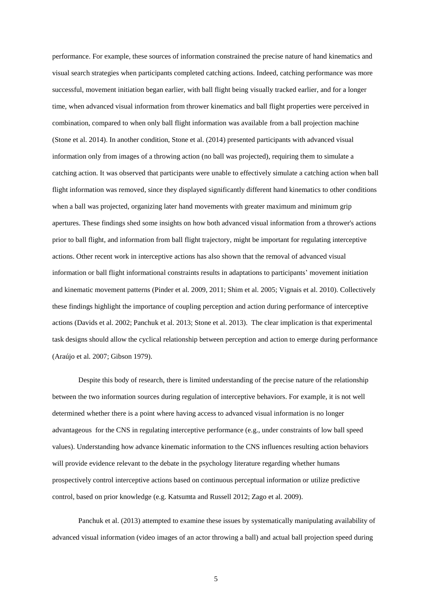performance. For example, these sources of information constrained the precise nature of hand kinematics and visual search strategies when participants completed catching actions. Indeed, catching performance was more successful, movement initiation began earlier, with ball flight being visually tracked earlier, and for a longer time, when advanced visual information from thrower kinematics and ball flight properties were perceived in combination, compared to when only ball flight information was available from a ball projection machine (Stone et al. 2014). In another condition, Stone et al. (2014) presented participants with advanced visual information only from images of a throwing action (no ball was projected), requiring them to simulate a catching action. It was observed that participants were unable to effectively simulate a catching action when ball flight information was removed, since they displayed significantly different hand kinematics to other conditions when a ball was projected, organizing later hand movements with greater maximum and minimum grip apertures. These findings shed some insights on how both advanced visual information from a thrower's actions prior to ball flight, and information from ball flight trajectory, might be important for regulating interceptive actions. Other recent work in interceptive actions has also shown that the removal of advanced visual information or ball flight informational constraints results in adaptations to participants' movement initiation and kinematic movement patterns (Pinder et al. 2009, 2011; Shim et al. 2005; Vignais et al. 2010). Collectively these findings highlight the importance of coupling perception and action during performance of interceptive actions (Davids et al. 2002; Panchuk et al. 2013; Stone et al. 2013). The clear implication is that experimental task designs should allow the cyclical relationship between perception and action to emerge during performance (Araújo et al. 2007; Gibson 1979).

Despite this body of research, there is limited understanding of the precise nature of the relationship between the two information sources during regulation of interceptive behaviors. For example, it is not well determined whether there is a point where having access to advanced visual information is no longer advantageous for the CNS in regulating interceptive performance (e.g., under constraints of low ball speed values). Understanding how advance kinematic information to the CNS influences resulting action behaviors will provide evidence relevant to the debate in the psychology literature regarding whether humans prospectively control interceptive actions based on continuous perceptual information or utilize predictive control, based on prior knowledge (e.g. Katsumta and Russell 2012; Zago et al. 2009).

Panchuk et al. (2013) attempted to examine these issues by systematically manipulating availability of advanced visual information (video images of an actor throwing a ball) and actual ball projection speed during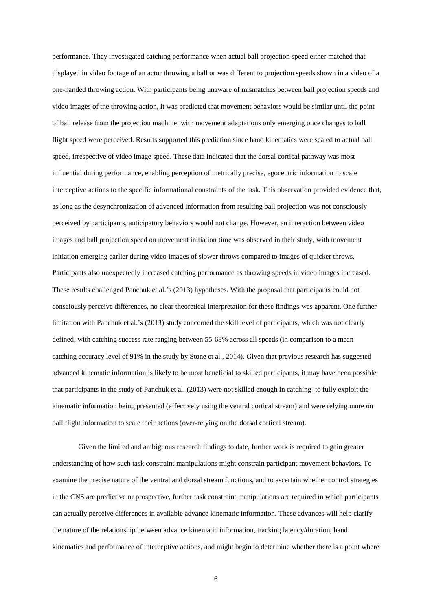performance. They investigated catching performance when actual ball projection speed either matched that displayed in video footage of an actor throwing a ball or was different to projection speeds shown in a video of a one-handed throwing action. With participants being unaware of mismatches between ball projection speeds and video images of the throwing action, it was predicted that movement behaviors would be similar until the point of ball release from the projection machine, with movement adaptations only emerging once changes to ball flight speed were perceived. Results supported this prediction since hand kinematics were scaled to actual ball speed, irrespective of video image speed. These data indicated that the dorsal cortical pathway was most influential during performance, enabling perception of metrically precise, egocentric information to scale interceptive actions to the specific informational constraints of the task. This observation provided evidence that, as long as the desynchronization of advanced information from resulting ball projection was not consciously perceived by participants, anticipatory behaviors would not change. However, an interaction between video images and ball projection speed on movement initiation time was observed in their study, with movement initiation emerging earlier during video images of slower throws compared to images of quicker throws. Participants also unexpectedly increased catching performance as throwing speeds in video images increased. These results challenged Panchuk et al.'s (2013) hypotheses. With the proposal that participants could not consciously perceive differences, no clear theoretical interpretation for these findings was apparent. One further limitation with Panchuk et al.'s (2013) study concerned the skill level of participants, which was not clearly defined, with catching success rate ranging between 55-68% across all speeds (in comparison to a mean catching accuracy level of 91% in the study by Stone et al., 2014). Given that previous research has suggested advanced kinematic information is likely to be most beneficial to skilled participants, it may have been possible that participants in the study of Panchuk et al. (2013) were not skilled enough in catching to fully exploit the kinematic information being presented (effectively using the ventral cortical stream) and were relying more on ball flight information to scale their actions (over-relying on the dorsal cortical stream).

Given the limited and ambiguous research findings to date, further work is required to gain greater understanding of how such task constraint manipulations might constrain participant movement behaviors. To examine the precise nature of the ventral and dorsal stream functions, and to ascertain whether control strategies in the CNS are predictive or prospective, further task constraint manipulations are required in which participants can actually perceive differences in available advance kinematic information. These advances will help clarify the nature of the relationship between advance kinematic information, tracking latency/duration, hand kinematics and performance of interceptive actions, and might begin to determine whether there is a point where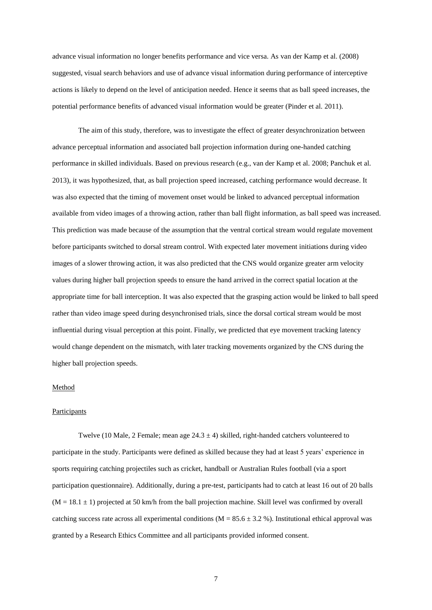advance visual information no longer benefits performance and vice versa. As van der Kamp et al. (2008) suggested, visual search behaviors and use of advance visual information during performance of interceptive actions is likely to depend on the level of anticipation needed. Hence it seems that as ball speed increases, the potential performance benefits of advanced visual information would be greater (Pinder et al. 2011).

The aim of this study, therefore, was to investigate the effect of greater desynchronization between advance perceptual information and associated ball projection information during one-handed catching performance in skilled individuals. Based on previous research (e.g., van der Kamp et al. 2008; Panchuk et al. 2013), it was hypothesized, that, as ball projection speed increased, catching performance would decrease. It was also expected that the timing of movement onset would be linked to advanced perceptual information available from video images of a throwing action, rather than ball flight information, as ball speed was increased. This prediction was made because of the assumption that the ventral cortical stream would regulate movement before participants switched to dorsal stream control. With expected later movement initiations during video images of a slower throwing action, it was also predicted that the CNS would organize greater arm velocity values during higher ball projection speeds to ensure the hand arrived in the correct spatial location at the appropriate time for ball interception. It was also expected that the grasping action would be linked to ball speed rather than video image speed during desynchronised trials, since the dorsal cortical stream would be most influential during visual perception at this point. Finally, we predicted that eye movement tracking latency would change dependent on the mismatch, with later tracking movements organized by the CNS during the higher ball projection speeds.

## Method

# **Participants**

Twelve (10 Male, 2 Female; mean age  $24.3 \pm 4$ ) skilled, right-handed catchers volunteered to participate in the study. Participants were defined as skilled because they had at least 5 years' experience in sports requiring catching projectiles such as cricket, handball or Australian Rules football (via a sport participation questionnaire). Additionally, during a pre-test, participants had to catch at least 16 out of 20 balls  $(M = 18.1 \pm 1)$  projected at 50 km/h from the ball projection machine. Skill level was confirmed by overall catching success rate across all experimental conditions ( $M = 85.6 \pm 3.2$ %). Institutional ethical approval was granted by a Research Ethics Committee and all participants provided informed consent.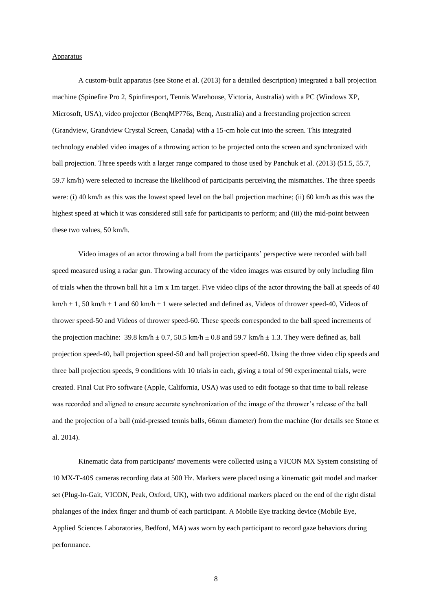## Apparatus

A custom-built apparatus (see Stone et al. (2013) for a detailed description) integrated a ball projection machine (Spinefire Pro 2, Spinfiresport, Tennis Warehouse, Victoria, Australia) with a PC (Windows XP, Microsoft, USA), video projector (BenqMP776s, Benq, Australia) and a freestanding projection screen (Grandview, Grandview Crystal Screen, Canada) with a 15-cm hole cut into the screen. This integrated technology enabled video images of a throwing action to be projected onto the screen and synchronized with ball projection. Three speeds with a larger range compared to those used by Panchuk et al. (2013) (51.5, 55.7, 59.7 km/h) were selected to increase the likelihood of participants perceiving the mismatches. The three speeds were: (i) 40 km/h as this was the lowest speed level on the ball projection machine; (ii) 60 km/h as this was the highest speed at which it was considered still safe for participants to perform; and (iii) the mid-point between these two values, 50 km/h.

Video images of an actor throwing a ball from the participants' perspective were recorded with ball speed measured using a radar gun. Throwing accuracy of the video images was ensured by only including film of trials when the thrown ball hit a 1m x 1m target. Five video clips of the actor throwing the ball at speeds of 40 km/h  $\pm$  1, 50 km/h  $\pm$  1 and 60 km/h  $\pm$  1 were selected and defined as, Videos of thrower speed-40, Videos of thrower speed-50 and Videos of thrower speed-60. These speeds corresponded to the ball speed increments of the projection machine:  $39.8 \text{ km/h} \pm 0.7$ ,  $50.5 \text{ km/h} \pm 0.8$  and  $59.7 \text{ km/h} \pm 1.3$ . They were defined as, ball projection speed-40, ball projection speed-50 and ball projection speed-60. Using the three video clip speeds and three ball projection speeds, 9 conditions with 10 trials in each, giving a total of 90 experimental trials, were created. Final Cut Pro software (Apple, California, USA) was used to edit footage so that time to ball release was recorded and aligned to ensure accurate synchronization of the image of the thrower's release of the ball and the projection of a ball (mid-pressed tennis balls, 66mm diameter) from the machine (for details see Stone et al. 2014).

Kinematic data from participants' movements were collected using a VICON MX System consisting of 10 MX-T-40S cameras recording data at 500 Hz. Markers were placed using a kinematic gait model and marker set (Plug-In-Gait, VICON, Peak, Oxford, UK), with two additional markers placed on the end of the right distal phalanges of the index finger and thumb of each participant. A Mobile Eye tracking device (Mobile Eye, Applied Sciences Laboratories, Bedford, MA) was worn by each participant to record gaze behaviors during performance.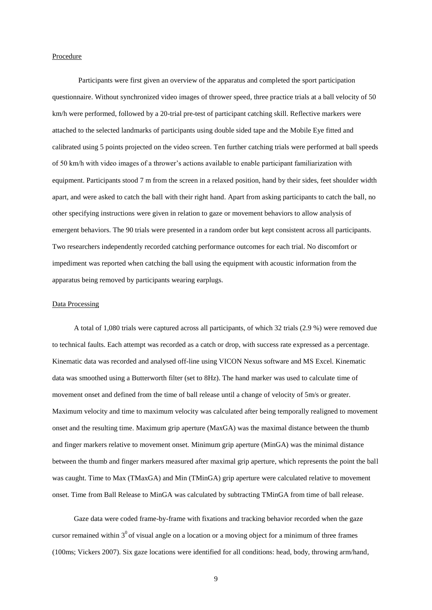# Procedure

Participants were first given an overview of the apparatus and completed the sport participation questionnaire. Without synchronized video images of thrower speed, three practice trials at a ball velocity of 50 km/h were performed, followed by a 20-trial pre-test of participant catching skill. Reflective markers were attached to the selected landmarks of participants using double sided tape and the Mobile Eye fitted and calibrated using 5 points projected on the video screen. Ten further catching trials were performed at ball speeds of 50 km/h with video images of a thrower's actions available to enable participant familiarization with equipment. Participants stood 7 m from the screen in a relaxed position, hand by their sides, feet shoulder width apart, and were asked to catch the ball with their right hand. Apart from asking participants to catch the ball, no other specifying instructions were given in relation to gaze or movement behaviors to allow analysis of emergent behaviors. The 90 trials were presented in a random order but kept consistent across all participants. Two researchers independently recorded catching performance outcomes for each trial. No discomfort or impediment was reported when catching the ball using the equipment with acoustic information from the apparatus being removed by participants wearing earplugs.

## Data Processing

A total of 1,080 trials were captured across all participants, of which 32 trials (2.9 %) were removed due to technical faults. Each attempt was recorded as a catch or drop, with success rate expressed as a percentage. Kinematic data was recorded and analysed off-line using VICON Nexus software and MS Excel. Kinematic data was smoothed using a Butterworth filter (set to 8Hz). The hand marker was used to calculate time of movement onset and defined from the time of ball release until a change of velocity of 5m/s or greater. Maximum velocity and time to maximum velocity was calculated after being temporally realigned to movement onset and the resulting time. Maximum grip aperture (MaxGA) was the maximal distance between the thumb and finger markers relative to movement onset. Minimum grip aperture (MinGA) was the minimal distance between the thumb and finger markers measured after maximal grip aperture, which represents the point the ball was caught. Time to Max (TMaxGA) and Min (TMinGA) grip aperture were calculated relative to movement onset. Time from Ball Release to MinGA was calculated by subtracting TMinGA from time of ball release.

Gaze data were coded frame-by-frame with fixations and tracking behavior recorded when the gaze cursor remained within  $3^0$  of visual angle on a location or a moving object for a minimum of three frames (100ms; Vickers 2007). Six gaze locations were identified for all conditions: head, body, throwing arm/hand,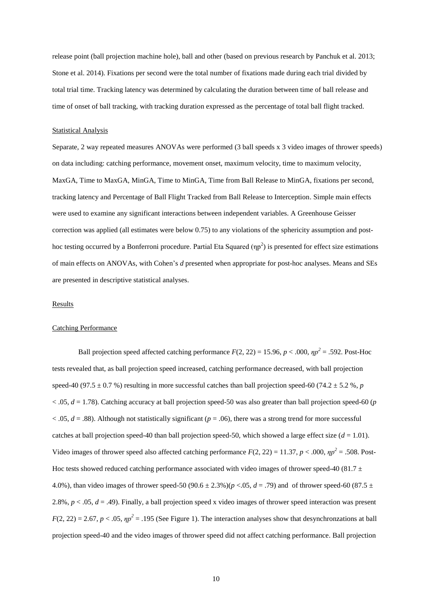release point (ball projection machine hole), ball and other (based on previous research by Panchuk et al. 2013; Stone et al. 2014). Fixations per second were the total number of fixations made during each trial divided by total trial time. Tracking latency was determined by calculating the duration between time of ball release and time of onset of ball tracking, with tracking duration expressed as the percentage of total ball flight tracked.

# Statistical Analysis

Separate, 2 way repeated measures ANOVAs were performed (3 ball speeds x 3 video images of thrower speeds) on data including: catching performance, movement onset, maximum velocity, time to maximum velocity, MaxGA, Time to MaxGA, MinGA, Time to MinGA, Time from Ball Release to MinGA, fixations per second, tracking latency and Percentage of Ball Flight Tracked from Ball Release to Interception. Simple main effects were used to examine any significant interactions between independent variables. A Greenhouse Geisser correction was applied (all estimates were below 0.75) to any violations of the sphericity assumption and posthoc testing occurred by a Bonferroni procedure. Partial Eta Squared  $(np^2)$  is presented for effect size estimations of main effects on ANOVAs, with Cohen's *d* presented when appropriate for post-hoc analyses. Means and SEs are presented in descriptive statistical analyses.

## Results

# Catching Performance

Ball projection speed affected catching performance  $F(2, 22) = 15.96$ ,  $p < .000$ ,  $np^2 = .592$ . Post-Hoc tests revealed that, as ball projection speed increased, catching performance decreased, with ball projection speed-40 (97.5  $\pm$  0.7 %) resulting in more successful catches than ball projection speed-60 (74.2  $\pm$  5.2 %, *p*  $<$ .05, *d* = 1.78). Catching accuracy at ball projection speed-50 was also greater than ball projection speed-60 (*p*)  $<$ .05, *d* = .88). Although not statistically significant (*p* = .06), there was a strong trend for more successful catches at ball projection speed-40 than ball projection speed-50, which showed a large effect size  $(d = 1.01)$ . Video images of thrower speed also affected catching performance  $F(2, 22) = 11.37$ ,  $p < .000$ ,  $\eta p^2 = .508$ . Post-Hoc tests showed reduced catching performance associated with video images of thrower speed-40 (81.7  $\pm$ 4.0%), than video images of thrower speed-50 (90.6  $\pm$  2.3%)( $p < 0.05$ ,  $d = .79$ ) and of thrower speed-60 (87.5  $\pm$ 2.8%, *p* < .05, *d* = .49). Finally, a ball projection speed x video images of thrower speed interaction was present  $F(2, 22) = 2.67$ ,  $p < .05$ ,  $np^2 = .195$  (See Figure 1). The interaction analyses show that desynchronzations at ball projection speed-40 and the video images of thrower speed did not affect catching performance. Ball projection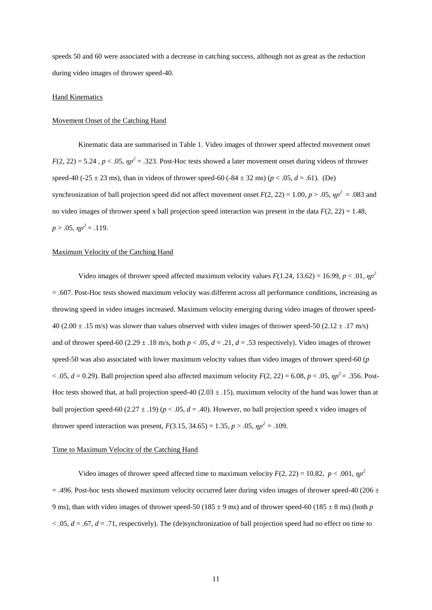speeds 50 and 60 were associated with a decrease in catching success, although not as great as the reduction during video images of thrower speed-40.

#### **Hand Kinematics**

# Movement Onset of the Catching Hand

Kinematic data are summarised in Table 1. Video images of thrower speed affected movement onset  $F(2, 22) = 5.24$ ,  $p < .05$ ,  $\eta p^2 = .323$ . Post-Hoc tests showed a later movement onset during videos of thrower speed-40 (-25  $\pm$  23 ms), than in videos of thrower speed-60 (-84  $\pm$  32 ms) ( $p < .05$ ,  $d = .61$ ). (De) synchronization of ball projection speed did not affect movement onset  $F(2, 22) = 1.00$ ,  $p > .05$ ,  $np^2 = .083$  and no video images of thrower speed x ball projection speed interaction was present in the data  $F(2, 22) = 1.48$ ,  $p > .05$ ,  $np^2 = .119$ .

#### Maximum Velocity of the Catching Hand

Video images of thrower speed affected maximum velocity values  $F(1.24, 13.62) = 16.99$ ,  $p < .01$ ,  $np^2$ = .607. Post-Hoc tests showed maximum velocity was different across all performance conditions, increasing as throwing speed in video images increased. Maximum velocity emerging during video images of thrower speed-40 (2.00  $\pm$  .15 m/s) was slower than values observed with video images of thrower speed-50 (2.12  $\pm$  .17 m/s) and of thrower speed-60  $(2.29 \pm .18 \text{ m/s}, \text{both } p < .05, d = .21, d = .53$  respectively). Video images of thrower speed-50 was also associated with lower maximum velocity values than video images of thrower speed-60 (*p*  $<$  0.29. Ball projection speed also affected maximum velocity  $F(2, 22) = 6.08$ ,  $p < 0.05$ ,  $np^2 = 0.356$ . Post-Hoc tests showed that, at ball projection speed-40 (2.03  $\pm$  .15), maximum velocity of the hand was lower than at ball projection speed-60 (2.27  $\pm$  .19) ( $p < .05$ ,  $d = .40$ ). However, no ball projection speed x video images of thrower speed interaction was present,  $F(3.15, 34.65) = 1.35, p > .05, \eta p^2 = .109$ .

## Time to Maximum Velocity of the Catching Hand

Video images of thrower speed affected time to maximum velocity  $F(2, 22) = 10.82$ ,  $p < .001$ ,  $np^2$  $=$  .496. Post-hoc tests showed maximum velocity occurred later during video images of thrower speed-40 (206  $\pm$ 9 ms), than with video images of thrower speed-50 (185  $\pm$  9 ms) and of thrower speed-60 (185  $\pm$  8 ms) (both *p*  $< .05$ ,  $d = .67$ ,  $d = .71$ , respectively). The (de)synchronization of ball projection speed had no effect on time to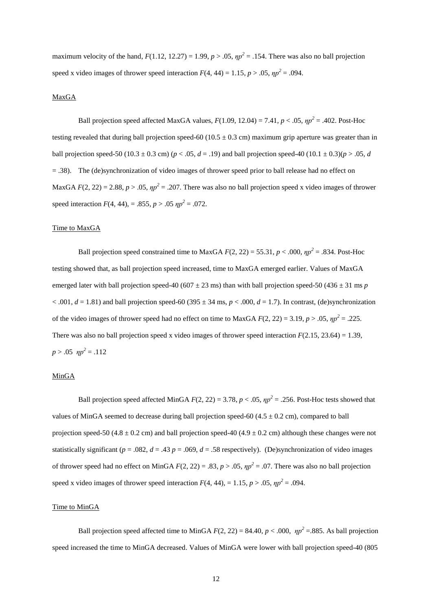maximum velocity of the hand,  $F(1.12, 12.27) = 1.99$ ,  $p > .05$ ,  $np^2 = .154$ . There was also no ball projection speed x video images of thrower speed interaction  $F(4, 44) = 1.15$ ,  $p > .05$ ,  $np^2 = .094$ .

# MaxGA

Ball projection speed affected MaxGA values,  $F(1.09, 12.04) = 7.41$ ,  $p < .05$ ,  $np^2 = .402$ . Post-Hoc testing revealed that during ball projection speed-60 (10.5  $\pm$  0.3 cm) maximum grip aperture was greater than in ball projection speed-50 (10.3 ± 0.3 cm) ( $p < .05$ ,  $d = .19$ ) and ball projection speed-40 (10.1 ± 0.3)( $p > .05$ , *d* = .38). The (de)synchronization of video images of thrower speed prior to ball release had no effect on MaxGA  $F(2, 22) = 2.88$ ,  $p > .05$ ,  $np^2 = .207$ . There was also no ball projection speed x video images of thrower speed interaction  $F(4, 44)$ , = .855,  $p > .05$   $np^2 = .072$ .

# Time to MaxGA

Ball projection speed constrained time to MaxGA  $F(2, 22) = 55.31$ ,  $p < .000$ ,  $np^2 = .834$ . Post-Hoc testing showed that, as ball projection speed increased, time to MaxGA emerged earlier. Values of MaxGA emerged later with ball projection speed-40 (607  $\pm$  23 ms) than with ball projection speed-50 (436  $\pm$  31 ms *p*  $< .001, d = 1.81$ ) and ball projection speed-60 (395  $\pm$  34 ms,  $p$  < .000,  $d = 1.7$ ). In contrast, (de)synchronization of the video images of thrower speed had no effect on time to MaxGA  $F(2, 22) = 3.19$ ,  $p > .05$ ,  $np^2 = .225$ . There was also no ball projection speed x video images of thrower speed interaction *F*(2.15, 23.64) = 1.39,  $p > .05$   $np^2 = .112$ 

# MinGA

Ball projection speed affected MinGA  $F(2, 22) = 3.78$ ,  $p < .05$ ,  $np^2 = .256$ . Post-Hoc tests showed that values of MinGA seemed to decrease during ball projection speed-60 (4.5  $\pm$  0.2 cm), compared to ball projection speed-50 (4.8  $\pm$  0.2 cm) and ball projection speed-40 (4.9  $\pm$  0.2 cm) although these changes were not statistically significant ( $p = .082$ ,  $d = .43$   $p = .069$ ,  $d = .58$  respectively). (De)synchronization of video images of thrower speed had no effect on MinGA  $F(2, 22) = .83$ ,  $p > .05$ ,  $np^2 = .07$ . There was also no ball projection speed x video images of thrower speed interaction  $F(4, 44)$ ,  $= 1.15$ ,  $p > .05$ ,  $np^2 = .094$ .

### Time to MinGA

Ball projection speed affected time to MinGA  $F(2, 22) = 84.40$ ,  $p < .000$ ,  $\eta p^2 = .885$ . As ball projection speed increased the time to MinGA decreased. Values of MinGA were lower with ball projection speed-40 (805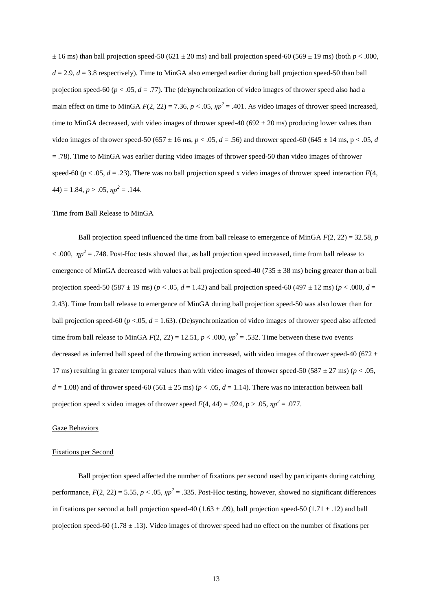$\pm$  16 ms) than ball projection speed-50 (621  $\pm$  20 ms) and ball projection speed-60 (569  $\pm$  19 ms) (both *p* < .000,  $d = 2.9$ ,  $d = 3.8$  respectively). Time to MinGA also emerged earlier during ball projection speed-50 than ball projection speed-60 ( $p < .05$ ,  $d = .77$ ). The (de)synchronization of video images of thrower speed also had a main effect on time to MinGA  $F(2, 22) = 7.36$ ,  $p < .05$ ,  $np^2 = .401$ . As video images of thrower speed increased, time to MinGA decreased, with video images of thrower speed-40 (692  $\pm$  20 ms) producing lower values than video images of thrower speed-50 (657  $\pm$  16 ms,  $p < .05$ ,  $d = .56$ ) and thrower speed-60 (645  $\pm$  14 ms, p < .05,  $d$ = .78). Time to MinGA was earlier during video images of thrower speed-50 than video images of thrower speed-60 ( $p < .05$ ,  $d = .23$ ). There was no ball projection speed x video images of thrower speed interaction  $F(4)$ .  $44$ ) = 1.84, *p* > .05,  $np^2$  = .144.

# Time from Ball Release to MinGA

Ball projection speed influenced the time from ball release to emergence of MinGA *F*(2, 22) = 32.58, *p*  $\langle 0.00, \eta p^2 = .748$ . Post-Hoc tests showed that, as ball projection speed increased, time from ball release to emergence of MinGA decreased with values at ball projection speed-40 (735  $\pm$  38 ms) being greater than at ball projection speed-50 (587  $\pm$  19 ms) ( $p < .05$ ,  $d = 1.42$ ) and ball projection speed-60 (497  $\pm$  12 ms) ( $p < .000$ ,  $d =$ 2.43). Time from ball release to emergence of MinGA during ball projection speed-50 was also lower than for ball projection speed-60 ( $p < .05$ ,  $d = 1.63$ ). (De)synchronization of video images of thrower speed also affected time from ball release to MinGA  $F(2, 22) = 12.51$ ,  $p < .000$ ,  $np^2 = .532$ . Time between these two events decreased as inferred ball speed of the throwing action increased, with video images of thrower speed-40 (672  $\pm$ 17 ms) resulting in greater temporal values than with video images of thrower speed-50 (587  $\pm$  27 ms) ( $p <$  0.05,  $d = 1.08$ ) and of thrower speed-60 (561  $\pm$  25 ms) ( $p < .05$ ,  $d = 1.14$ ). There was no interaction between ball projection speed x video images of thrower speed  $F(4, 44) = .924$ ,  $p > .05$ ,  $np^2 = .077$ .

## Gaze Behaviors

#### Fixations per Second

Ball projection speed affected the number of fixations per second used by participants during catching performance,  $F(2, 22) = 5.55$ ,  $p < .05$ ,  $np^2 = .335$ . Post-Hoc testing, however, showed no significant differences in fixations per second at ball projection speed-40 (1.63  $\pm$  .09), ball projection speed-50 (1.71  $\pm$  .12) and ball projection speed-60 (1.78  $\pm$  .13). Video images of thrower speed had no effect on the number of fixations per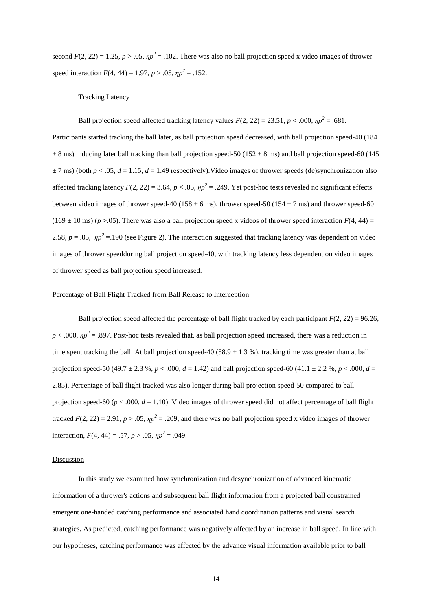second  $F(2, 22) = 1.25$ ,  $p > .05$ ,  $\eta p^2 = .102$ . There was also no ball projection speed x video images of thrower speed interaction  $F(4, 44) = 1.97$ ,  $p > .05$ ,  $np^2 = .152$ .

#### Tracking Latency

Ball projection speed affected tracking latency values  $F(2, 22) = 23.51$ ,  $p < .000$ ,  $np^2 = .681$ .

Participants started tracking the ball later, as ball projection speed decreased, with ball projection speed-40 (184  $\pm$  8 ms) inducing later ball tracking than ball projection speed-50 (152  $\pm$  8 ms) and ball projection speed-60 (145  $\pm$  7 ms) (both *p* < .05, *d* = 1.15, *d* = 1.49 respectively). Video images of thrower speeds (de)synchronization also affected tracking latency  $F(2, 22) = 3.64$ ,  $p < .05$ ,  $np^2 = .249$ . Yet post-hoc tests revealed no significant effects between video images of thrower speed-40 (158  $\pm$  6 ms), thrower speed-50 (154  $\pm$  7 ms) and thrower speed-60  $(169 \pm 10 \text{ ms})$  ( $p > 0.05$ ). There was also a ball projection speed x videos of thrower speed interaction  $F(4, 44) =$ 2.58,  $p = .05$ ,  $\eta p^2 = .190$  (see Figure 2). The interaction suggested that tracking latency was dependent on video images of thrower speedduring ball projection speed-40, with tracking latency less dependent on video images of thrower speed as ball projection speed increased.

# Percentage of Ball Flight Tracked from Ball Release to Interception

Ball projection speed affected the percentage of ball flight tracked by each participant  $F(2, 22) = 96.26$ ,  $p < .000$ ,  $\eta p^2 = .897$ . Post-hoc tests revealed that, as ball projection speed increased, there was a reduction in time spent tracking the ball. At ball projection speed-40 (58.9  $\pm$  1.3 %), tracking time was greater than at ball projection speed-50 (49.7  $\pm$  2.3 %, *p* < .000, *d* = 1.42) and ball projection speed-60 (41.1  $\pm$  2.2 %, *p* < .000, *d* = 2.85). Percentage of ball flight tracked was also longer during ball projection speed-50 compared to ball projection speed-60 ( $p < .000$ ,  $d = 1.10$ ). Video images of thrower speed did not affect percentage of ball flight tracked  $F(2, 22) = 2.91$ ,  $p > .05$ ,  $\eta p^2 = .209$ , and there was no ball projection speed x video images of thrower interaction,  $F(4, 44) = .57$ ,  $p > .05$ ,  $np^2 = .049$ .

#### Discussion

In this study we examined how synchronization and desynchronization of advanced kinematic information of a thrower's actions and subsequent ball flight information from a projected ball constrained emergent one-handed catching performance and associated hand coordination patterns and visual search strategies. As predicted, catching performance was negatively affected by an increase in ball speed. In line with our hypotheses, catching performance was affected by the advance visual information available prior to ball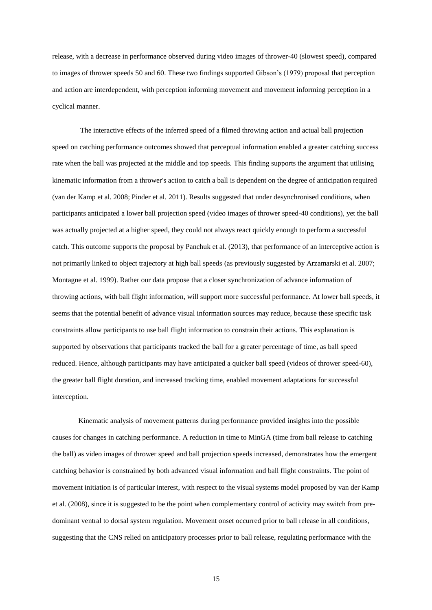release, with a decrease in performance observed during video images of thrower-40 (slowest speed), compared to images of thrower speeds 50 and 60. These two findings supported Gibson's (1979) proposal that perception and action are interdependent, with perception informing movement and movement informing perception in a cyclical manner.

The interactive effects of the inferred speed of a filmed throwing action and actual ball projection speed on catching performance outcomes showed that perceptual information enabled a greater catching success rate when the ball was projected at the middle and top speeds. This finding supports the argument that utilising kinematic information from a thrower's action to catch a ball is dependent on the degree of anticipation required (van der Kamp et al. 2008; Pinder et al. 2011). Results suggested that under desynchronised conditions, when participants anticipated a lower ball projection speed (video images of thrower speed-40 conditions), yet the ball was actually projected at a higher speed, they could not always react quickly enough to perform a successful catch. This outcome supports the proposal by Panchuk et al. (2013), that performance of an interceptive action is not primarily linked to object trajectory at high ball speeds (as previously suggested by Arzamarski et al. 2007; Montagne et al. 1999). Rather our data propose that a closer synchronization of advance information of throwing actions, with ball flight information, will support more successful performance. At lower ball speeds, it seems that the potential benefit of advance visual information sources may reduce, because these specific task constraints allow participants to use ball flight information to constrain their actions. This explanation is supported by observations that participants tracked the ball for a greater percentage of time, as ball speed reduced. Hence, although participants may have anticipated a quicker ball speed (videos of thrower speed-60), the greater ball flight duration, and increased tracking time, enabled movement adaptations for successful interception.

Kinematic analysis of movement patterns during performance provided insights into the possible causes for changes in catching performance. A reduction in time to MinGA (time from ball release to catching the ball) as video images of thrower speed and ball projection speeds increased, demonstrates how the emergent catching behavior is constrained by both advanced visual information and ball flight constraints. The point of movement initiation is of particular interest, with respect to the visual systems model proposed by van der Kamp et al. (2008), since it is suggested to be the point when complementary control of activity may switch from predominant ventral to dorsal system regulation. Movement onset occurred prior to ball release in all conditions, suggesting that the CNS relied on anticipatory processes prior to ball release, regulating performance with the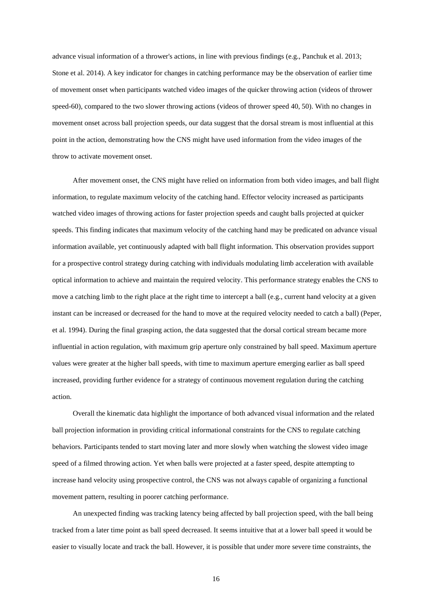advance visual information of a thrower's actions, in line with previous findings (e.g., Panchuk et al. 2013; Stone et al. 2014). A key indicator for changes in catching performance may be the observation of earlier time of movement onset when participants watched video images of the quicker throwing action (videos of thrower speed-60), compared to the two slower throwing actions (videos of thrower speed 40, 50). With no changes in movement onset across ball projection speeds, our data suggest that the dorsal stream is most influential at this point in the action, demonstrating how the CNS might have used information from the video images of the throw to activate movement onset.

After movement onset, the CNS might have relied on information from both video images, and ball flight information, to regulate maximum velocity of the catching hand. Effector velocity increased as participants watched video images of throwing actions for faster projection speeds and caught balls projected at quicker speeds. This finding indicates that maximum velocity of the catching hand may be predicated on advance visual information available, yet continuously adapted with ball flight information. This observation provides support for a prospective control strategy during catching with individuals modulating limb acceleration with available optical information to achieve and maintain the required velocity. This performance strategy enables the CNS to move a catching limb to the right place at the right time to intercept a ball (e.g., current hand velocity at a given instant can be increased or decreased for the hand to move at the required velocity needed to catch a ball) (Peper, et al. 1994). During the final grasping action, the data suggested that the dorsal cortical stream became more influential in action regulation, with maximum grip aperture only constrained by ball speed. Maximum aperture values were greater at the higher ball speeds, with time to maximum aperture emerging earlier as ball speed increased, providing further evidence for a strategy of continuous movement regulation during the catching action.

Overall the kinematic data highlight the importance of both advanced visual information and the related ball projection information in providing critical informational constraints for the CNS to regulate catching behaviors. Participants tended to start moving later and more slowly when watching the slowest video image speed of a filmed throwing action. Yet when balls were projected at a faster speed, despite attempting to increase hand velocity using prospective control, the CNS was not always capable of organizing a functional movement pattern, resulting in poorer catching performance.

An unexpected finding was tracking latency being affected by ball projection speed, with the ball being tracked from a later time point as ball speed decreased. It seems intuitive that at a lower ball speed it would be easier to visually locate and track the ball. However, it is possible that under more severe time constraints, the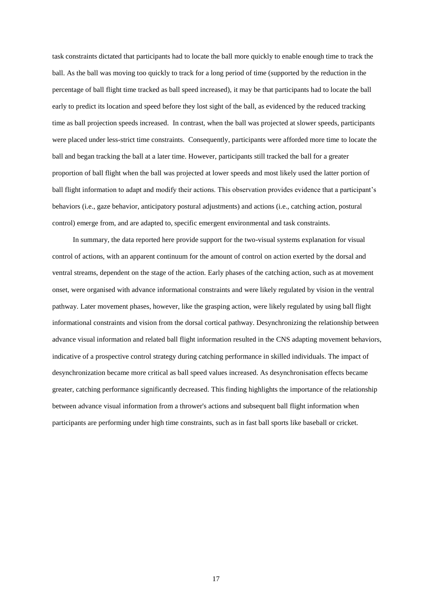task constraints dictated that participants had to locate the ball more quickly to enable enough time to track the ball. As the ball was moving too quickly to track for a long period of time (supported by the reduction in the percentage of ball flight time tracked as ball speed increased), it may be that participants had to locate the ball early to predict its location and speed before they lost sight of the ball, as evidenced by the reduced tracking time as ball projection speeds increased. In contrast, when the ball was projected at slower speeds, participants were placed under less-strict time constraints. Consequently, participants were afforded more time to locate the ball and began tracking the ball at a later time. However, participants still tracked the ball for a greater proportion of ball flight when the ball was projected at lower speeds and most likely used the latter portion of ball flight information to adapt and modify their actions. This observation provides evidence that a participant's behaviors (i.e., gaze behavior, anticipatory postural adjustments) and actions (i.e., catching action, postural control) emerge from, and are adapted to, specific emergent environmental and task constraints.

In summary, the data reported here provide support for the two-visual systems explanation for visual control of actions, with an apparent continuum for the amount of control on action exerted by the dorsal and ventral streams, dependent on the stage of the action. Early phases of the catching action, such as at movement onset, were organised with advance informational constraints and were likely regulated by vision in the ventral pathway. Later movement phases, however, like the grasping action, were likely regulated by using ball flight informational constraints and vision from the dorsal cortical pathway. Desynchronizing the relationship between advance visual information and related ball flight information resulted in the CNS adapting movement behaviors, indicative of a prospective control strategy during catching performance in skilled individuals. The impact of desynchronization became more critical as ball speed values increased. As desynchronisation effects became greater, catching performance significantly decreased. This finding highlights the importance of the relationship between advance visual information from a thrower's actions and subsequent ball flight information when participants are performing under high time constraints, such as in fast ball sports like baseball or cricket.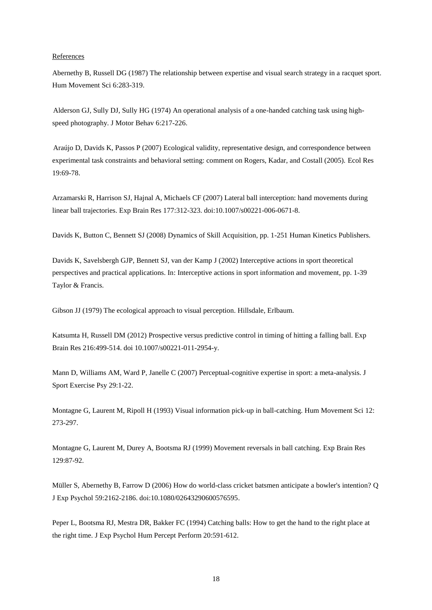# References

Abernethy B, Russell DG (1987) The relationship between expertise and visual search strategy in a racquet sport. Hum Movement Sci 6:283-319.

Alderson GJ, Sully DJ, Sully HG (1974) An operational analysis of a one-handed catching task using highspeed photography. J Motor Behav 6:217-226.

Araújo D, Davids K, Passos P (2007) Ecological validity, representative design, and correspondence between experimental task constraints and behavioral setting: comment on Rogers, Kadar, and Costall (2005). Ecol Res 19:69-78.

Arzamarski R, Harrison SJ, Hajnal A, Michaels CF (2007) Lateral ball interception: hand movements during linear ball trajectories. Exp Brain Res 177:312-323. doi:10.1007/s00221-006-0671-8.

Davids K, Button C, Bennett SJ (2008) Dynamics of Skill Acquisition, pp. 1-251 Human Kinetics Publishers.

Davids K, Savelsbergh GJP, Bennett SJ, van der Kamp J (2002) Interceptive actions in sport theoretical perspectives and practical applications. In: Interceptive actions in sport information and movement, pp. 1-39 Taylor & Francis.

Gibson JJ (1979) The ecological approach to visual perception. Hillsdale, Erlbaum.

Katsumta H, Russell DM (2012) Prospective versus predictive control in timing of hitting a falling ball. Exp Brain Res 216:499-514. doi 10.1007/s00221-011-2954-y.

Mann D, Williams AM, Ward P, Janelle C (2007) Perceptual-cognitive expertise in sport: a meta-analysis. J Sport Exercise Psy 29:1-22.

Montagne G, Laurent M, Ripoll H (1993) Visual information pick-up in ball-catching. Hum Movement Sci 12: 273-297.

Montagne G, Laurent M, Durey A, Bootsma RJ (1999) Movement reversals in ball catching. Exp Brain Res 129:87-92.

Müller S, Abernethy B, Farrow D (2006) How do world-class cricket batsmen anticipate a bowler's intention? Q J Exp Psychol 59:2162-2186. doi:10.1080/02643290600576595.

Peper L, Bootsma RJ, Mestra DR, Bakker FC (1994) Catching balls: How to get the hand to the right place at the right time. J Exp Psychol Hum Percept Perform 20:591-612.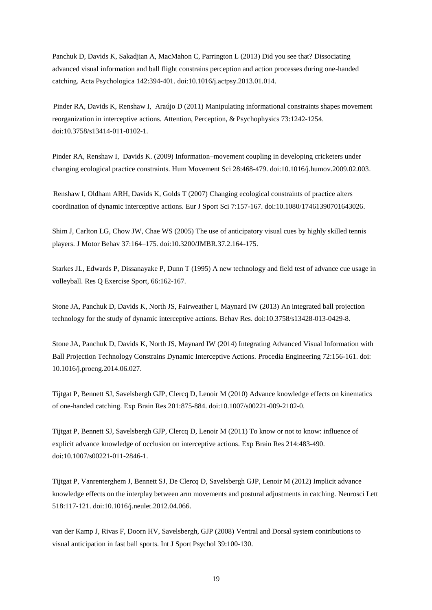Panchuk D, Davids K, Sakadjian A, MacMahon C, Parrington L (2013) Did you see that? Dissociating advanced visual information and ball flight constrains perception and action processes during one-handed catching. Acta Psychologica 142:394-401. doi:10.1016/j.actpsy.2013.01.014.

Pinder RA, Davids K, Renshaw I, Araújo D (2011) Manipulating informational constraints shapes movement reorganization in interceptive actions. Attention, Perception, & Psychophysics 73:1242-1254. doi:10.3758/s13414-011-0102-1.

Pinder RA, Renshaw I, Davids K. (2009) Information–movement coupling in developing cricketers under changing ecological practice constraints. Hum Movement Sci 28:468-479. doi:10.1016/j.humov.2009.02.003.

Renshaw I, Oldham ARH, Davids K, Golds T (2007) Changing ecological constraints of practice alters coordination of dynamic interceptive actions. Eur J Sport Sci 7:157-167. doi:10.1080/17461390701643026.

Shim J, Carlton LG, Chow JW, Chae WS (2005) The use of anticipatory visual cues by highly skilled tennis players. J Motor Behav 37:164–175. doi:10.3200/JMBR.37.2.164-175.

Starkes JL, Edwards P, Dissanayake P, Dunn T (1995) A new technology and field test of advance cue usage in volleyball. Res Q Exercise Sport, 66:162-167.

Stone JA, Panchuk D, Davids K, North JS, Fairweather I, Maynard IW (2013) An integrated ball projection technology for the study of dynamic interceptive actions. Behav Res. doi:10.3758/s13428-013-0429-8.

Stone JA, Panchuk D, Davids K, North JS, Maynard IW (2014) Integrating Advanced Visual Information with Ball Projection Technology Constrains Dynamic Interceptive Actions. Procedia Engineering 72:156-161. doi: 10.1016/j.proeng.2014.06.027.

Tijtgat P, Bennett SJ, Savelsbergh GJP, Clercq D, Lenoir M (2010) Advance knowledge effects on kinematics of one-handed catching. Exp Brain Res 201:875-884. doi:10.1007/s00221-009-2102-0.

Tijtgat P, Bennett SJ, Savelsbergh GJP, Clercq D, Lenoir M (2011) To know or not to know: influence of explicit advance knowledge of occlusion on interceptive actions. Exp Brain Res 214:483-490. doi:10.1007/s00221-011-2846-1.

Tijtgat P, Vanrenterghem J, Bennett SJ, De Clercq D, Savelsbergh GJP, Lenoir M (2012) Implicit advance knowledge effects on the interplay between arm movements and postural adjustments in catching. Neurosci Lett 518:117-121. doi:10.1016/j.neulet.2012.04.066.

van der Kamp J, Rivas F, Doorn HV, Savelsbergh, GJP (2008) Ventral and Dorsal system contributions to visual anticipation in fast ball sports. Int J Sport Psychol 39:100-130.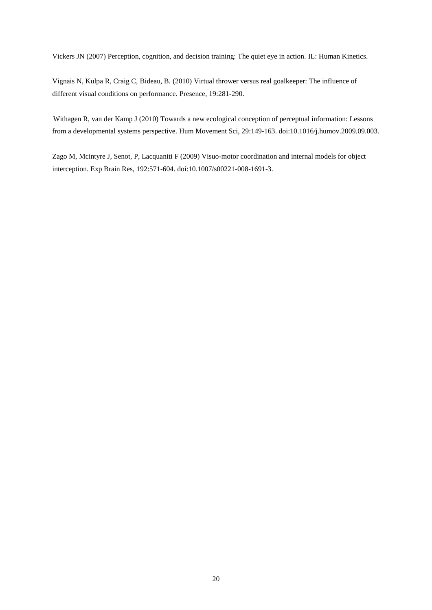Vickers JN (2007) Perception, cognition, and decision training: The quiet eye in action. IL: Human Kinetics.

Vignais N, Kulpa R, Craig C, Bideau, B. (2010) Virtual thrower versus real goalkeeper: The influence of different visual conditions on performance. Presence, 19:281-290.

Withagen R, van der Kamp J (2010) Towards a new ecological conception of perceptual information: Lessons from a developmental systems perspective. Hum Movement Sci, 29:149-163. doi:10.1016/j.humov.2009.09.003.

Zago M, Mcintyre J, Senot, P, Lacquaniti F (2009) Visuo-motor coordination and internal models for object interception. Exp Brain Res, 192:571-604. doi:10.1007/s00221-008-1691-3.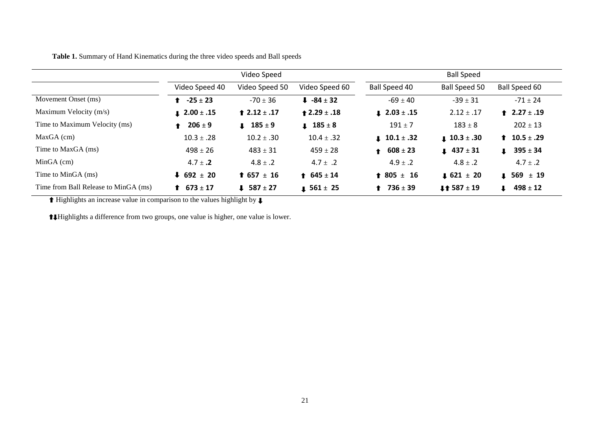**Table 1.** Summary of Hand Kinematics during the three video speeds and Ball speeds

|                                      | Video Speed           |                       |                          | <b>Ball Speed</b>         |                         |                              |
|--------------------------------------|-----------------------|-----------------------|--------------------------|---------------------------|-------------------------|------------------------------|
|                                      | Video Speed 40        | Video Speed 50        | Video Speed 60           | Ball Speed 40             | <b>Ball Speed 50</b>    | Ball Speed 60                |
| Movement Onset (ms)                  | <b>1</b> $-25 \pm 23$ | -70 $\pm$ 36          | $1 - 84 \pm 32$          | $-69 \pm 40$              | $-39 \pm 31$            | $-71 + 24$                   |
| Maximum Velocity (m/s)               | $12.00 \pm .15$       | <b>12.12</b> ± .17    | $\textbf{12.29} \pm .18$ | $12.03 \pm .15$           | $2.12 \pm .17$          | <b>1</b> $2.27 \pm .19$      |
| Time to Maximum Velocity (ms)        | $1206 \pm 9$          | <b>1</b> $185 \pm 9$  | $185 \pm 8$              | $191 + 7$                 | $183 \pm 8$             | $202 + 13$                   |
| $MaxGA$ (cm)                         | $10.3 \pm .28$        | $10.2 \pm .30$        | $10.4 \pm .32$           | <b>1</b> $10.1 \pm .32$   | <b>1</b> $10.3 \pm .30$ | <b>10.5</b> ± .29            |
| Time to MaxGA (ms)                   | $498 \pm 26$          | $483 \pm 31$          | $459 \pm 28$             | $608 \pm 23$<br>$\bullet$ | <b>1</b> 437 $\pm$ 31   | $395 \pm 34$                 |
| $MinGA$ (cm)                         | $4.7 \pm .2$          | $4.8 \pm .2$          | 4.7 $\pm$ .2             | $4.9 \pm .2$              | $4.8 \pm .2$            | $4.7 \pm .2$                 |
| Time to MinGA (ms)                   | $1692 \pm 20$         | <b>1</b> 657 $\pm$ 16 | <b>1</b> 645 ± 14        | $1805 \pm 16$             | $1621 \pm 20$           | $569 \pm 19$                 |
| Time from Ball Release to MinGA (ms) | <b>1</b> 673 ± 17     | $1.587 \pm 27$        | <b>1</b> 561 $\pm$ 25    | <b>1</b> 736 $\pm$ 39     | $11587 \pm 19$          | $498 \pm 12$<br>$\mathbf{L}$ |

 $\dagger$  Highlights an increase value in comparison to the values highlight by  $\dagger$ 

Highlights a difference from two groups, one value is higher, one value is lower.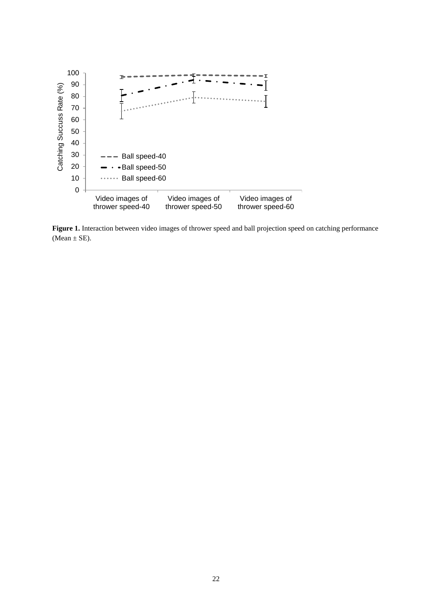

Figure 1. Interaction between video images of thrower speed and ball projection speed on catching performance  $(Mean \pm SE)$ .